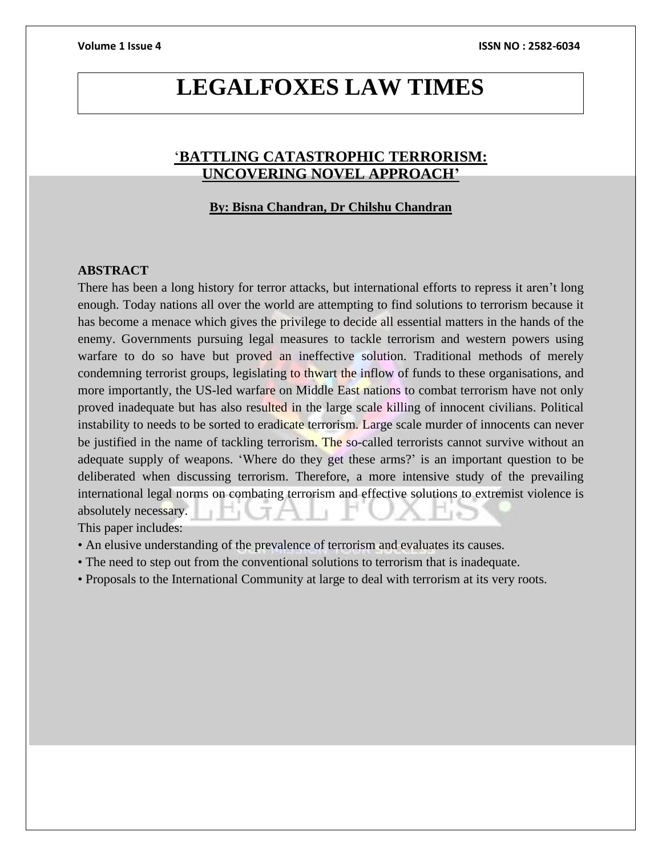# **LEGALFOXES LAW TIMES**

# '**BATTLING CATASTROPHIC TERRORISM: UNCOVERING NOVEL APPROACH'**

#### **By: Bisna Chandran, Dr Chilshu Chandran**

#### **ABSTRACT**

There has been a long history for terror attacks, but international efforts to repress it aren't long enough. Today nations all over the world are attempting to find solutions to terrorism because it has become a menace which gives the privilege to decide all essential matters in the hands of the enemy. Governments pursuing legal measures to tackle terrorism and western powers using warfare to do so have but proved an ineffective solution. Traditional methods of merely condemning terrorist groups, legislating to thwart the inflow of funds to these organisations, and more importantly, the US-led warfare on Middle East nations to combat terrorism have not only proved inadequate but has also resulted in the large scale killing of innocent civilians. Political instability to needs to be sorted to eradicate terrorism. Large scale murder of innocents can never be justified in the name of tackling terrorism. The so-called terrorists cannot survive without an adequate supply of weapons. 'Where do they get these arms?' is an important question to be deliberated when discussing terrorism. Therefore, a more intensive study of the prevailing international legal norms on combating terrorism and effective solutions to extremist violence is absolutely necessary.

This paper includes:

- An elusive understanding of the prevalence of terrorism and evaluates its causes.
- The need to step out from the conventional solutions to terrorism that is inadequate.
- Proposals to the International Community at large to deal with terrorism at its very roots.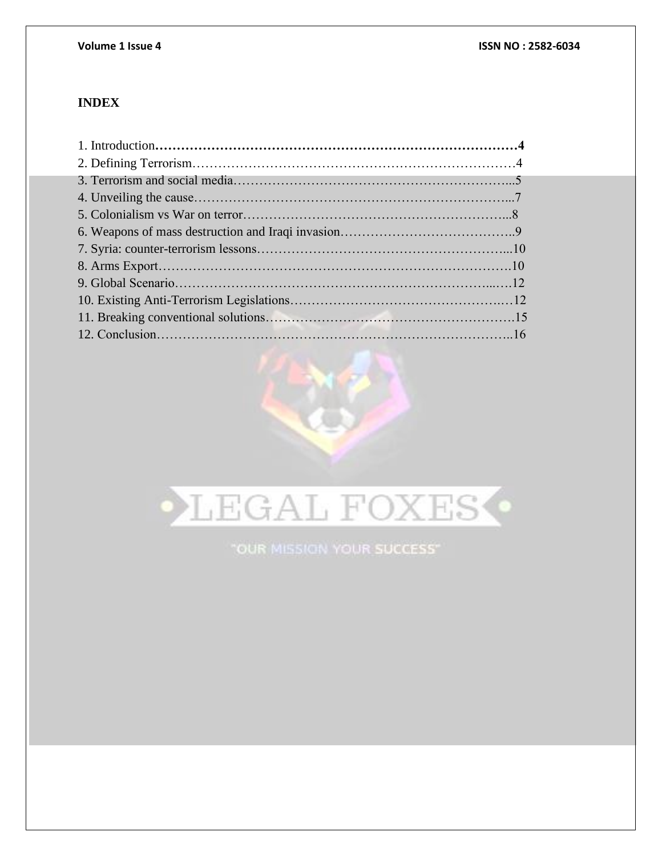# **INDEX**



"OUR MISSION YOUR SUCCESS"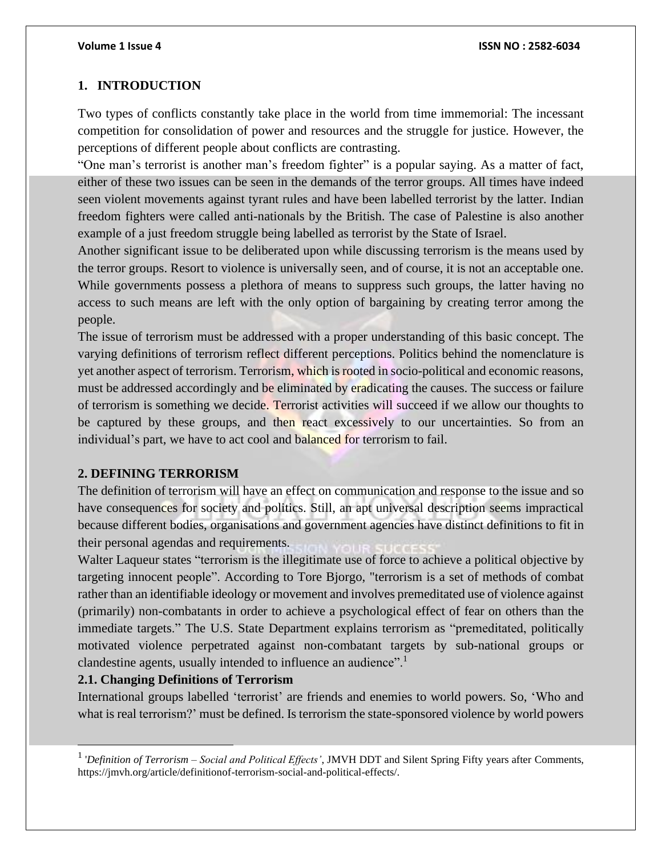# **1. INTRODUCTION**

Two types of conflicts constantly take place in the world from time immemorial: The incessant competition for consolidation of power and resources and the struggle for justice. However, the perceptions of different people about conflicts are contrasting.

"One man's terrorist is another man's freedom fighter" is a popular saying. As a matter of fact, either of these two issues can be seen in the demands of the terror groups. All times have indeed seen violent movements against tyrant rules and have been labelled terrorist by the latter. Indian freedom fighters were called anti-nationals by the British. The case of Palestine is also another example of a just freedom struggle being labelled as terrorist by the State of Israel.

Another significant issue to be deliberated upon while discussing terrorism is the means used by the terror groups. Resort to violence is universally seen, and of course, it is not an acceptable one. While governments possess a plethora of means to suppress such groups, the latter having no access to such means are left with the only option of bargaining by creating terror among the people.

The issue of terrorism must be addressed with a proper understanding of this basic concept. The varying definitions of terrorism reflect different perceptions. Politics behind the nomenclature is yet another aspect of terrorism. Terrorism, which isrooted in socio-political and economic reasons, must be addressed accordingly and be eliminated by eradicating the causes. The success or failure of terrorism is something we decide. Terrorist activities will succeed if we allow our thoughts to be captured by these groups, and then react excessively to our uncertainties. So from an individual's part, we have to act cool and balanced for terrorism to fail.

#### **2. DEFINING TERRORISM**

The definition of terrorism will have an effect on communication and response to the issue and so have consequences for society and politics. Still, an apt universal description seems impractical because different bodies, organisations and government agencies have distinct definitions to fit in their personal agendas and requirements.

Walter Laqueur states "terrorism is the illegitimate use of force to achieve a political objective by targeting innocent people". According to Tore Bjorgo, "terrorism is a set of methods of combat rather than an identifiable ideology or movement and involves premeditated use of violence against (primarily) non-combatants in order to achieve a psychological effect of fear on others than the immediate targets." The U.S. State Department explains terrorism as "premeditated, politically motivated violence perpetrated against non-combatant targets by sub-national groups or clandestine agents, usually intended to influence an audience".<sup>1</sup>

### **2.1. Changing Definitions of Terrorism**

International groups labelled 'terrorist' are friends and enemies to world powers. So, 'Who and what is real terrorism?' must be defined. Is terrorism the state-sponsored violence by world powers

<sup>1</sup> '*Definition of Terrorism – Social and Political Effects'*, JMVH DDT and Silent Spring Fifty years after Comments, https://jmvh.org/article/definitionof-terrorism-social-and-political-effects/.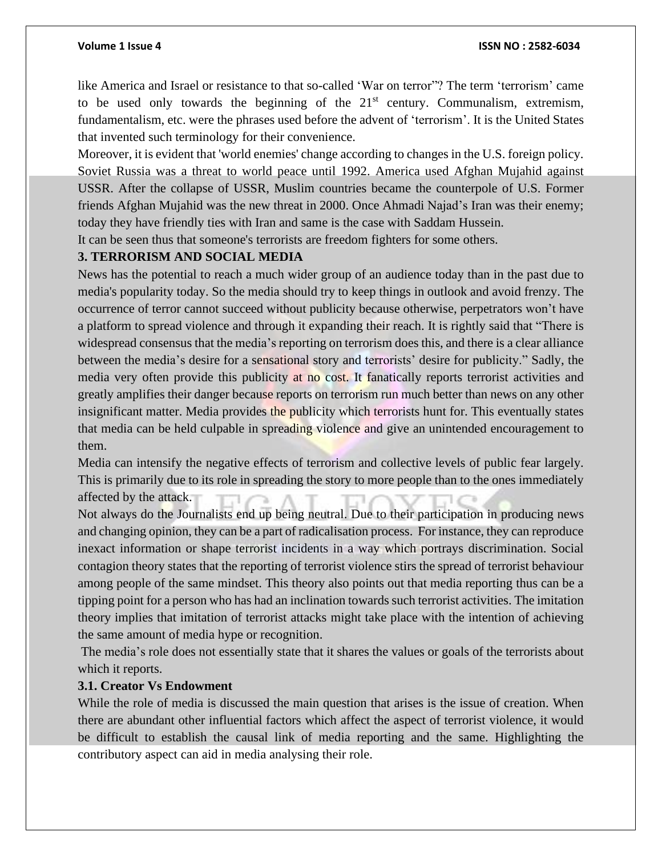like America and Israel or resistance to that so-called 'War on terror"? The term 'terrorism' came to be used only towards the beginning of the  $21<sup>st</sup>$  century. Communalism, extremism, fundamentalism, etc. were the phrases used before the advent of 'terrorism'. It is the United States that invented such terminology for their convenience.

Moreover, it is evident that 'world enemies' change according to changes in the U.S. foreign policy. Soviet Russia was a threat to world peace until 1992. America used Afghan Mujahid against USSR. After the collapse of USSR, Muslim countries became the counterpole of U.S. Former friends Afghan Mujahid was the new threat in 2000. Once Ahmadi Najad's Iran was their enemy; today they have friendly ties with Iran and same is the case with Saddam Hussein.

It can be seen thus that someone's terrorists are freedom fighters for some others.

### **3. TERRORISM AND SOCIAL MEDIA**

News has the potential to reach a much wider group of an audience today than in the past due to media's popularity today. So the media should try to keep things in outlook and avoid frenzy. The occurrence of terror cannot succeed without publicity because otherwise, perpetrators won't have a platform to spread violence and through it expanding their reach. It is rightly said that "There is widespread consensus that the media's reporting on terrorism does this, and there is a clear alliance between the media's desire for a sensational story and terrorists' desire for publicity." Sadly, the media very often provide this publicity at no cost. It fanatically reports terrorist activities and greatly amplifies their danger because reports on terrorism run much better than news on any other insignificant matter. Media provides the publicity which terrorists hunt for. This eventually states that media can be held culpable in spreading violence and give an unintended encouragement to them.

Media can intensify the negative effects of terrorism and collective levels of public fear largely. This is primarily due to its role in spreading the story to more people than to the ones immediately affected by the attack.

Not always do the Journalists end up being neutral. Due to their participation in producing news and changing opinion, they can be a part of radicalisation process. For instance, they can reproduce inexact information or shape terrorist incidents in a way which portrays discrimination. Social contagion theory states that the reporting of terrorist violence stirs the spread of terrorist behaviour among people of the same mindset. This theory also points out that media reporting thus can be a tipping point for a person who has had an inclination towards such terrorist activities. The imitation theory implies that imitation of terrorist attacks might take place with the intention of achieving the same amount of media hype or recognition.

The media's role does not essentially state that it shares the values or goals of the terrorists about which it reports.

### **3.1. Creator Vs Endowment**

While the role of media is discussed the main question that arises is the issue of creation. When there are abundant other influential factors which affect the aspect of terrorist violence, it would be difficult to establish the causal link of media reporting and the same. Highlighting the contributory aspect can aid in media analysing their role.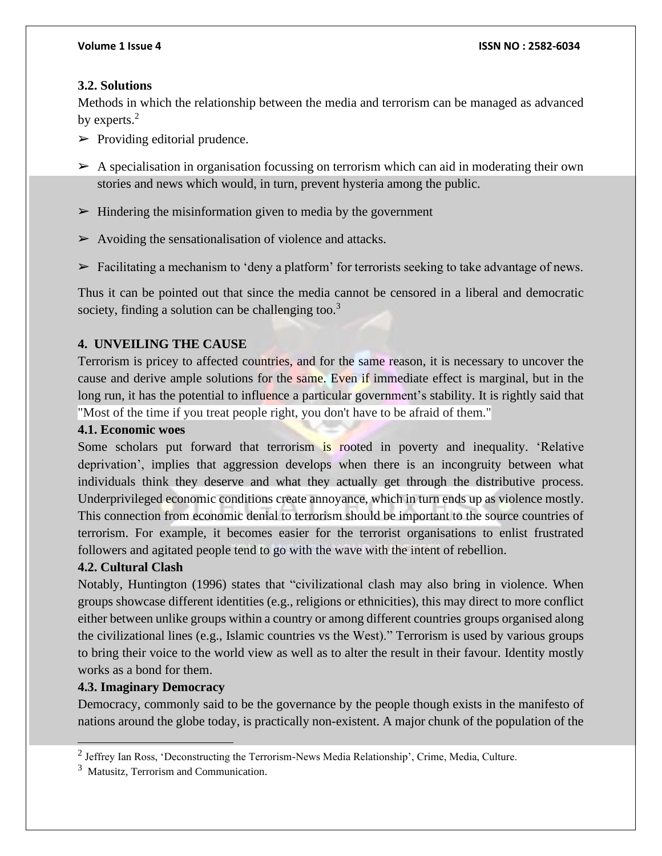# **3.2. Solutions**

Methods in which the relationship between the media and terrorism can be managed as advanced by experts.<sup>2</sup>

- $\triangleright$  Providing editorial prudence.
- $\triangleright$  A specialisation in organisation focussing on terrorism which can aid in moderating their own stories and news which would, in turn, prevent hysteria among the public.
- $\triangleright$  Hindering the misinformation given to media by the government
- $\triangleright$  Avoiding the sensationalisation of violence and attacks.
- $\triangleright$  Facilitating a mechanism to 'deny a platform' for terrorists seeking to take advantage of news.

Thus it can be pointed out that since the media cannot be censored in a liberal and democratic society, finding a solution can be challenging too.<sup>3</sup>

# **4. UNVEILING THE CAUSE**

Terrorism is pricey to affected countries, and for the same reason, it is necessary to uncover the cause and derive ample solutions for the same. Even if immediate effect is marginal, but in the long run, it has the potential to influence a particular government's stability. It is rightly said that "Most of the time if you treat people right, you don't have to be afraid of them."

# **4.1. Economic woes**

Some scholars put forward that terrorism is rooted in poverty and inequality. 'Relative deprivation', implies that aggression develops when there is an incongruity between what individuals think they deserve and what they actually get through the distributive process. Underprivileged economic conditions create annoyance, which in turn ends up as violence mostly. This connection from economic denial to terrorism should be important to the source countries of terrorism. For example, it becomes easier for the terrorist organisations to enlist frustrated followers and agitated people tend to go with the wave with the intent of rebellion.

# **4.2. Cultural Clash**

Notably, Huntington (1996) states that "civilizational clash may also bring in violence. When groups showcase different identities (e.g., religions or ethnicities), this may direct to more conflict either between unlike groups within a country or among different countries groups organised along the civilizational lines (e.g., Islamic countries vs the West)." Terrorism is used by various groups to bring their voice to the world view as well as to alter the result in their favour. Identity mostly works as a bond for them.

# **4.3. Imaginary Democracy**

Democracy, commonly said to be the governance by the people though exists in the manifesto of nations around the globe today, is practically non-existent. A major chunk of the population of the

 $2$  Jeffrey Ian Ross, 'Deconstructing the Terrorism-News Media Relationship', Crime, Media, Culture.

<sup>&</sup>lt;sup>3</sup> Matusitz, Terrorism and Communication.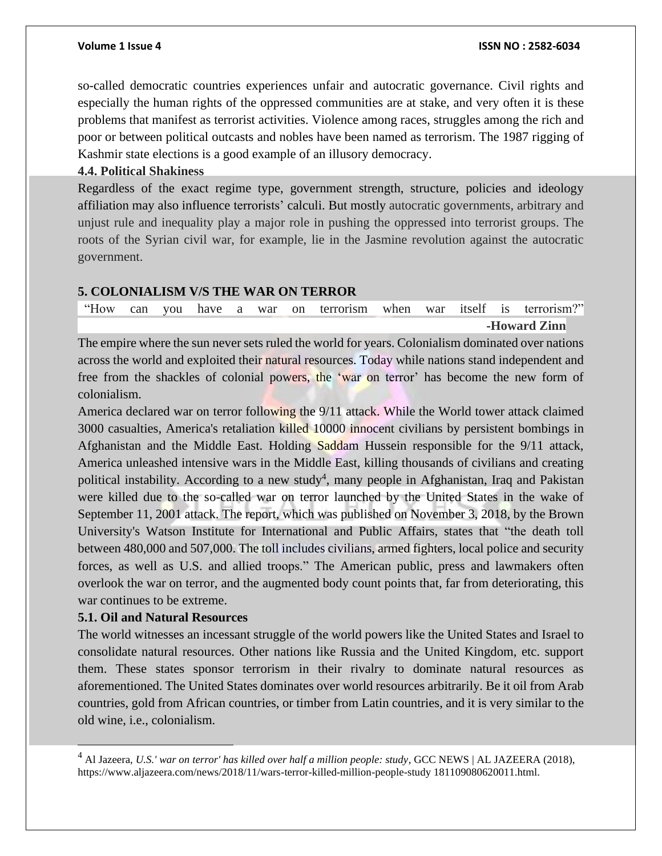#### **Volume 1 Issue 4 ISSN NO : 2582-6034**

so-called democratic countries experiences unfair and autocratic governance. Civil rights and especially the human rights of the oppressed communities are at stake, and very often it is these problems that manifest as terrorist activities. Violence among races, struggles among the rich and poor or between political outcasts and nobles have been named as terrorism. The 1987 rigging of Kashmir state elections is a good example of an illusory democracy.

**4.4. Political Shakiness**

Regardless of the exact regime type, government strength, structure, policies and ideology affiliation may also influence terrorists' calculi. But mostly autocratic governments, arbitrary and unjust rule and inequality play a major role in pushing the oppressed into terrorist groups. The roots of the Syrian civil war, for example, lie in the Jasmine revolution against the autocratic government.

### **5. COLONIALISM V/S THE WAR ON TERROR**

|  |  |  |  |  |  | "How can you have a war on terrorism when war itself is terrorism?" |
|--|--|--|--|--|--|---------------------------------------------------------------------|
|  |  |  |  |  |  | -Howard Zinn                                                        |

The empire where the sun never sets ruled the world for years. Colonialism dominated over nations across the world and exploited their natural resources. Today while nations stand independent and free from the shackles of colonial powers, the 'war on terror' has become the new form of colonialism.

America declared war on terror following the 9/11 attack. While the World tower attack claimed 3000 casualties, America's retaliation killed 10000 innocent civilians by persistent bombings in Afghanistan and the Middle East. Holding Saddam Hussein responsible for the 9/11 attack, America unleashed intensive wars in the Middle East, killing thousands of civilians and creating political instability. According to a new study<sup>4</sup>, many people in Afghanistan, Iraq and Pakistan were killed due to the so-called war on terror launched by the United States in the wake of September 11, 2001 attack. The report, which was published on November 3, 2018, by the Brown University's Watson Institute for International and Public Affairs, states that "the death toll between 480,000 and 507,000. The toll includes civilians, armed fighters, local police and security forces, as well as U.S. and allied troops." The American public, press and lawmakers often overlook the war on terror, and the augmented body count points that, far from deteriorating, this war continues to be extreme.

#### **5.1. Oil and Natural Resources**

The world witnesses an incessant struggle of the world powers like the United States and Israel to consolidate natural resources. Other nations like Russia and the United Kingdom, etc. support them. These states sponsor terrorism in their rivalry to dominate natural resources as aforementioned. The United States dominates over world resources arbitrarily. Be it oil from Arab countries, gold from African countries, or timber from Latin countries, and it is very similar to the old wine, i.e., colonialism.

<sup>4</sup> Al Jazeera, *U.S.' war on terror' has killed over half a million people: study*, GCC NEWS | AL JAZEERA (2018), https://www.aljazeera.com/news/2018/11/wars-terror-killed-million-people-study 181109080620011.html.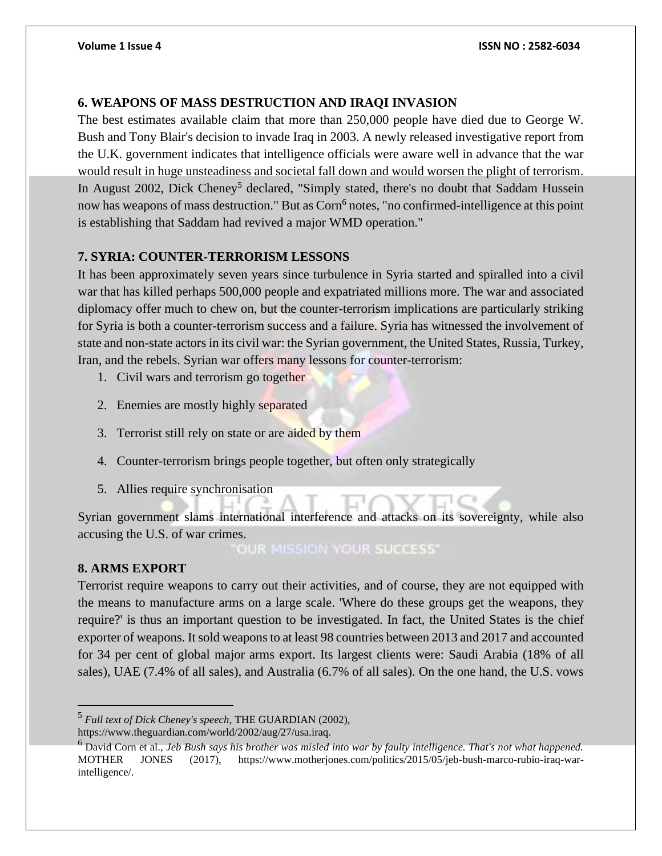# **6. WEAPONS OF MASS DESTRUCTION AND IRAQI INVASION**

The best estimates available claim that more than 250,000 people have died due to George W. Bush and Tony Blair's decision to invade Iraq in 2003. A newly released investigative report from the U.K. government indicates that intelligence officials were aware well in advance that the war would result in huge unsteadiness and societal fall down and would worsen the plight of terrorism. In August 2002, Dick Cheney<sup>5</sup> declared, "Simply stated, there's no doubt that Saddam Hussein now has weapons of mass destruction." But as Corn<sup>6</sup> notes, "no confirmed-intelligence at this point is establishing that Saddam had revived a major WMD operation."

# **7. SYRIA: COUNTER-TERRORISM LESSONS**

It has been approximately seven years since turbulence in Syria started and spiralled into a civil war that has killed perhaps 500,000 people and expatriated millions more. The war and associated diplomacy offer much to chew on, but the counter-terrorism implications are particularly striking for Syria is both a counter-terrorism success and a failure. Syria has witnessed the involvement of state and non-state actors in its civil war: the Syrian government, the United States, Russia, Turkey, Iran, and the rebels. Syrian war offers many lessons for counter-terrorism:

- 1. Civil wars and terrorism go together
- 2. Enemies are mostly highly separated
- 3. Terrorist still rely on state or are aided by them
- 4. Counter-terrorism brings people together, but often only strategically
- 5. Allies require synchronisation

Syrian government slams international interference and attacks on its sovereignty, while also accusing the U.S. of war crimes.<br>COUR MISSION YOUR SUCCESS

# **8. ARMS EXPORT**

Terrorist require weapons to carry out their activities, and of course, they are not equipped with the means to manufacture arms on a large scale. 'Where do these groups get the weapons, they require?' is thus an important question to be investigated. In fact, the United States is the chief exporter of weapons. It sold weapons to at least 98 countries between 2013 and 2017 and accounted for 34 per cent of global major arms export. Its largest clients were: Saudi Arabia (18% of all sales), UAE (7.4% of all sales), and Australia (6.7% of all sales). On the one hand, the U.S. vows

https://www.theguardian.com/world/2002/aug/27/usa.iraq.

<sup>5</sup> *Full text of Dick Cheney's speech*, THE GUARDIAN (2002),

<sup>6</sup> David Corn et al., *Jeb Bush says his brother was misled into war by faulty intelligence. That's not what happened.* MOTHER JONES (2017), https://www.motherjones.com/politics/2015/05/jeb-bush-marco-rubio-iraq-warintelligence/.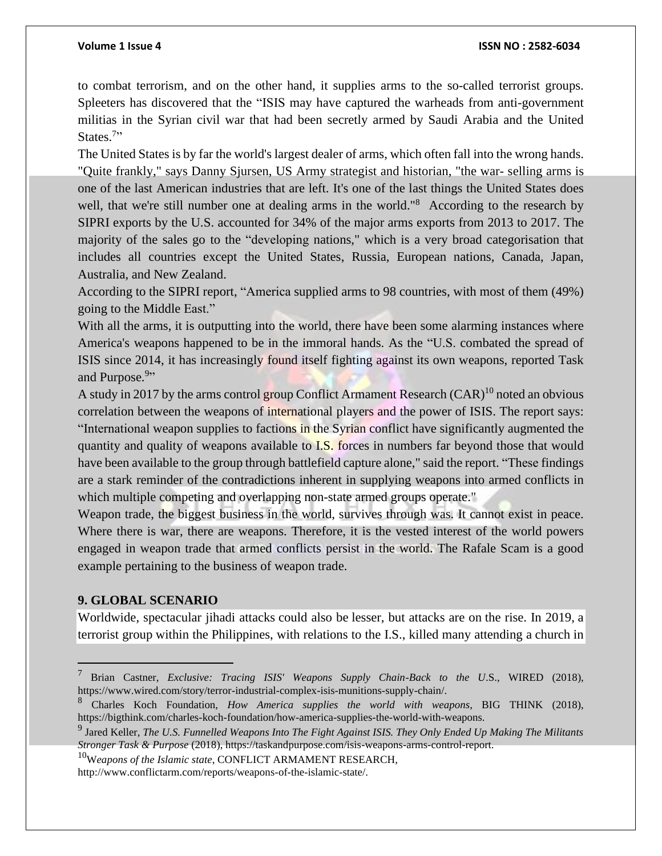#### **Volume 1 Issue 4 ISSN NO : 2582-6034**

to combat terrorism, and on the other hand, it supplies arms to the so-called terrorist groups. Spleeters has discovered that the "ISIS may have captured the warheads from anti-government militias in the Syrian civil war that had been secretly armed by Saudi Arabia and the United States.<sup>7</sup>"

The United States is by far the world's largest dealer of arms, which often fall into the wrong hands. "Quite frankly," says Danny Sjursen, US Army strategist and historian, "the war- selling arms is one of the last American industries that are left. It's one of the last things the United States does well, that we're still number one at dealing arms in the world."<sup>8</sup> According to the research by SIPRI exports by the U.S. accounted for 34% of the major arms exports from 2013 to 2017. The majority of the sales go to the "developing nations," which is a very broad categorisation that includes all countries except the United States, Russia, European nations, Canada, Japan, Australia, and New Zealand.

According to the SIPRI report, "America supplied arms to 98 countries, with most of them (49%) going to the Middle East."

With all the arms, it is outputting into the world, there have been some alarming instances where America's weapons happened to be in the immoral hands. As the "U.S. combated the spread of ISIS since 2014, it has increasingly found itself fighting against its own weapons, reported Task and Purpose.<sup>9</sup>"

A study in 2017 by the arms control group Conflict Armament Research  $(CAR)^{10}$  noted an obvious correlation between the weapons of international players and the power of ISIS. The report says: "International weapon supplies to factions in the Syrian conflict have significantly augmented the quantity and quality of weapons available to **I.S.** forces in numbers far beyond those that would have been available to the group through battlefield capture alone," said the report. "These findings are a stark reminder of the contradictions inherent in supplying weapons into armed conflicts in which multiple competing and overlapping non-state armed groups operate."

Weapon trade, the biggest business in the world, survives through was. It cannot exist in peace. Where there is war, there are weapons. Therefore, it is the vested interest of the world powers engaged in weapon trade that armed conflicts persist in the world. The Rafale Scam is a good example pertaining to the business of weapon trade.

### **9. GLOBAL SCENARIO**

Worldwide, spectacular jihadi attacks could also be lesser, but attacks are on the rise. In 2019, a terrorist group within the Philippines, with relations to the I.S., killed many attending a church in

<sup>10</sup>W*eapons of the Islamic state*, CONFLICT ARMAMENT RESEARCH,

<sup>7</sup> Brian Castner, *Exclusive: Tracing ISIS' Weapons Supply Chain-Back to the U*.S., WIRED (2018), https://www.wired.com/story/terror-industrial-complex-isis-munitions-supply-chain/.

<sup>8</sup> Charles Koch Foundation, *How America supplies the world with weapons*, BIG THINK (2018), https://bigthink.com/charles-koch-foundation/how-america-supplies-the-world-with-weapons.

<sup>9</sup> Jared Keller, *The U.S. Funnelled Weapons Into The Fight Against ISIS. They Only Ended Up Making The Militants Stronger Task & Purpose* (2018), https://taskandpurpose.com/isis-weapons-arms-control-report.

http://www.conflictarm.com/reports/weapons-of-the-islamic-state/.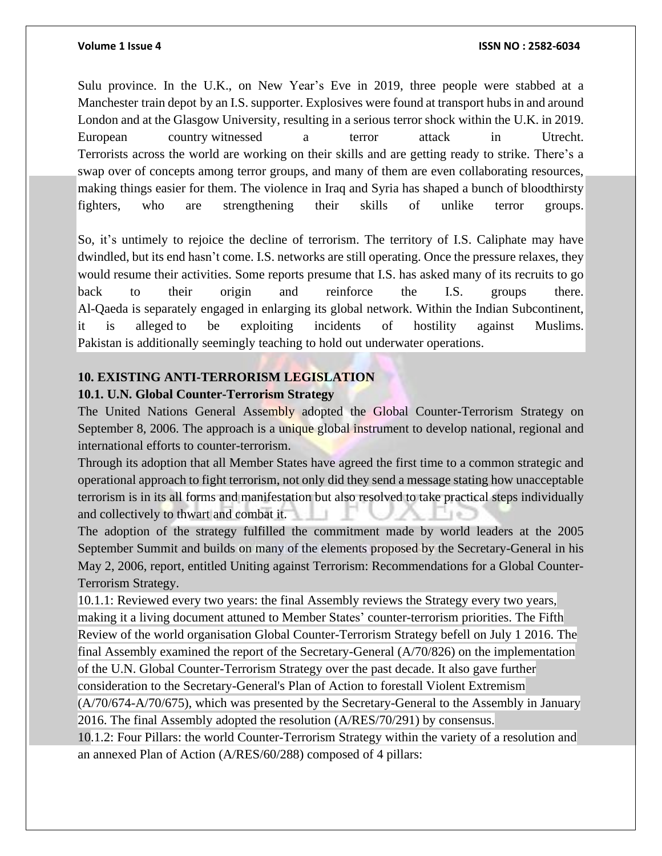Sulu province. In the U.K., on New Year's Eve in 2019, three people were stabbed at a Manchester train depot by an I.S. supporter. Explosives were found at transport hubs in and around London and at the Glasgow University, resulting in a serious terror shock within the U.K. in 2019. European country witnessed a terror attack in Utrecht. Terrorists across the world are working on their skills and are getting ready to strike. There's a swap over of concepts among terror groups, and many of them are even collaborating resources, making things easier for them. The violence in Iraq and Syria has shaped a bunch of bloodthirsty fighters, who are strengthening their skills of unlike terror groups.

So, it's untimely to rejoice the decline of terrorism. The territory of I.S. Caliphate may have dwindled, but its end hasn't come. I.S. networks are still operating. Once the pressure relaxes, they would resume their activities. Some reports presume that I.S. has asked many of its recruits to go back to their origin and reinforce the I.S. groups there. Al-Qaeda is separately engaged in enlarging its global network. Within the Indian Subcontinent, it is alleged to be exploiting incidents of hostility against Muslims. Pakistan is additionally seemingly teaching to hold out underwater operations.

### **10. EXISTING ANTI-TERRORISM LEGISLATION**

### **10.1. U.N. Global Counter-Terrorism Strategy**

The United Nations General Assembly adopted the Global Counter-Terrorism Strategy on September 8, 2006. The approach is a unique global instrument to develop national, regional and international efforts to counter-terrorism.

Through its adoption that all Member States have agreed the first time to a common strategic and operational approach to fight terrorism, not only did they send a message stating how unacceptable terrorism is in its all forms and manifestation but also resolved to take practical steps individually and collectively to thwart and combat it.

The adoption of the strategy fulfilled the commitment made by world leaders at the 2005 September Summit and builds on many of the elements proposed by the Secretary-General in his May 2, 2006, report, entitled Uniting against Terrorism: Recommendations for a Global Counter-Terrorism Strategy.

10.1.1: Reviewed every two years: the final Assembly reviews the Strategy every two years, making it a living document attuned to Member States' counter-terrorism priorities. The Fifth Review of the world organisation Global Counter-Terrorism Strategy befell on July 1 2016. The final Assembly examined the report of the Secretary-General (A/70/826) on the implementation of the U.N. Global Counter-Terrorism Strategy over the past decade. It also gave further consideration to the Secretary-General's Plan of Action to forestall Violent Extremism  $(A/70/674-A/70/675)$ , which was presented by the Secretary-General to the Assembly in January

2016. The final Assembly adopted the resolution (A/RES/70/291) by consensus.

10.1.2: Four Pillars: the world Counter-Terrorism Strategy within the variety of a resolution and an annexed Plan of Action (A/RES/60/288) composed of 4 pillars: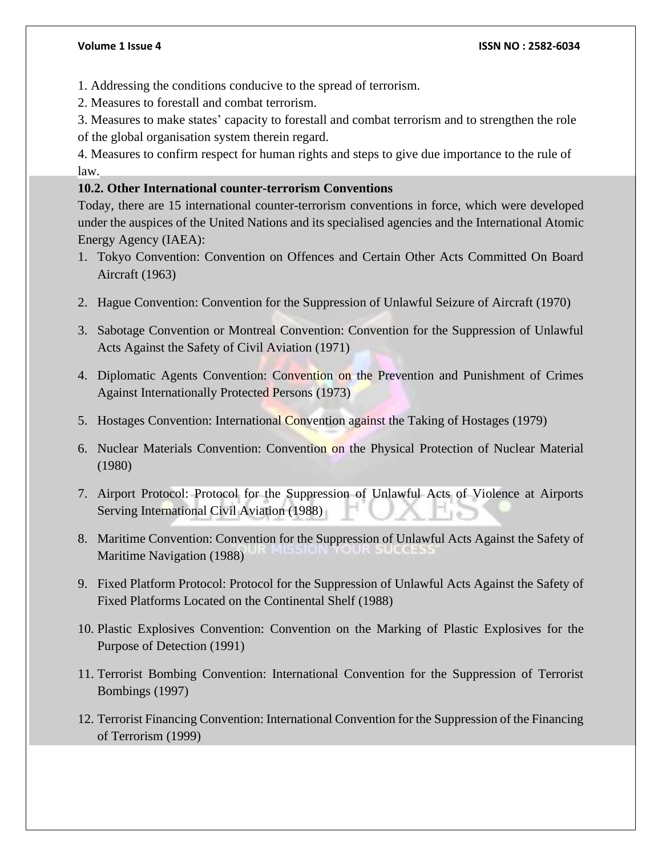- 1. Addressing the conditions conducive to the spread of terrorism.
- 2. Measures to forestall and combat terrorism.
- 3. Measures to make states' capacity to forestall and combat terrorism and to strengthen the role of the global organisation system therein regard.

4. Measures to confirm respect for human rights and steps to give due importance to the rule of law.

### **10.2. Other International counter-terrorism Conventions**

Today, there are 15 international counter-terrorism conventions in force, which were developed under the auspices of the United Nations and its specialised agencies and the International Atomic Energy Agency (IAEA):

- 1. Tokyo Convention: Convention on Offences and Certain Other Acts Committed On Board Aircraft (1963)
- 2. Hague Convention: Convention for the Suppression of Unlawful Seizure of Aircraft (1970)
- 3. Sabotage Convention or Montreal Convention: Convention for the Suppression of Unlawful Acts Against the Safety of Civil Aviation (1971)
- 4. Diplomatic Agents Convention: Convention on the Prevention and Punishment of Crimes Against Internationally Protected Persons (1973)
- 5. Hostages Convention: International Convention against the Taking of Hostages (1979)
- 6. Nuclear Materials Convention: Convention on the Physical Protection of Nuclear Material (1980)
- 7. Airport Protocol: Protocol for the Suppression of Unlawful Acts of Violence at Airports Serving International Civil Aviation (1988)
- 8. Maritime Convention: Convention for the Suppression of Unlawful Acts Against the Safety of Maritime Navigation (1988)
- 9. Fixed Platform Protocol: Protocol for the Suppression of Unlawful Acts Against the Safety of Fixed Platforms Located on the Continental Shelf (1988)
- 10. Plastic Explosives Convention: Convention on the Marking of Plastic Explosives for the Purpose of Detection (1991)
- 11. Terrorist Bombing Convention: International Convention for the Suppression of Terrorist Bombings (1997)
- 12. Terrorist Financing Convention: International Convention for the Suppression of the Financing of Terrorism (1999)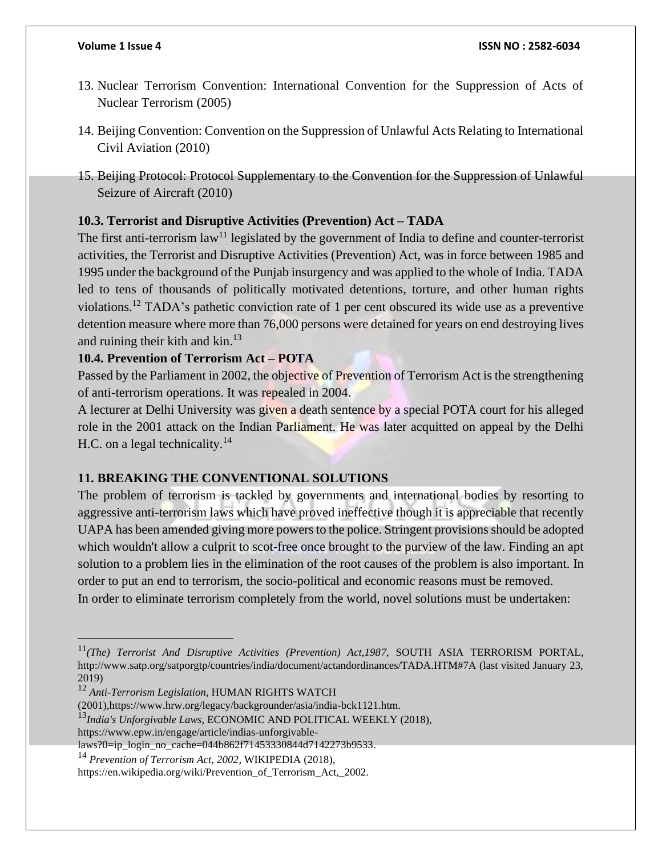- 13. Nuclear Terrorism Convention: International Convention for the Suppression of Acts of Nuclear Terrorism (2005)
- 14. Beijing Convention: Convention on the Suppression of Unlawful Acts Relating to International Civil Aviation (2010)
- 15. Beijing Protocol: Protocol Supplementary to the Convention for the Suppression of Unlawful Seizure of Aircraft (2010)

# **10.3. Terrorist and Disruptive Activities (Prevention) Act – TADA**

The first anti-terrorism  $law<sup>11</sup>$  legislated by the government of India to define and counter-terrorist activities, the Terrorist and Disruptive Activities (Prevention) Act, was in force between 1985 and 1995 under the background of the Punjab insurgency and was applied to the whole of India. TADA led to tens of thousands of politically motivated detentions, torture, and other human rights violations.<sup>12</sup> TADA's pathetic conviction rate of 1 per cent obscured its wide use as a preventive detention measure where more than 76,000 persons were detained for years on end destroying lives and ruining their kith and kin.<sup>13</sup>

# **10.4. Prevention of Terrorism Act – POTA**

Passed by the Parliament in 2002, the objective of Prevention of Terrorism Act is the strengthening of anti-terrorism operations. It was repealed in 2004.

A lecturer at Delhi University was given a death sentence by a special POTA court for his alleged role in the 2001 attack on the Indian Parliament. He was later acquitted on appeal by the Delhi H.C. on a legal technicality. $14$ 

# **11. BREAKING THE CONVENTIONAL SOLUTIONS**

The problem of terrorism is tackled by governments and international bodies by resorting to aggressive anti-terrorism laws which have proved ineffective though it is appreciable that recently UAPA has been amended giving more powers to the police. Stringent provisions should be adopted which wouldn't allow a culprit to scot-free once brought to the purview of the law. Finding an apt solution to a problem lies in the elimination of the root causes of the problem is also important. In order to put an end to terrorism, the socio-political and economic reasons must be removed. In order to eliminate terrorism completely from the world, novel solutions must be undertaken:

<sup>11</sup>*(The) Terrorist And Disruptive Activities (Prevention) Act,1987*, SOUTH ASIA TERRORISM PORTAL, http://www.satp.org/satporgtp/countries/india/document/actandordinances/TADA.HTM#7A (last visited January 23, 2019)

<sup>12</sup> *Anti-Terrorism Legislation*, HUMAN RIGHTS WATCH

<sup>(2001),</sup>https://www.hrw.org/legacy/backgrounder/asia/india-bck1121.htm.

<sup>13</sup>*India's Unforgivable Laws*, ECONOMIC AND POLITICAL WEEKLY (2018),

https://www.epw.in/engage/article/indias-unforgivable-

laws?0=ip\_login\_no\_cache=044b862f71453330844d7142273b9533.

<sup>14</sup> *Prevention of Terrorism Act, 2002*, WIKIPEDIA (2018),

https://en.wikipedia.org/wiki/Prevention\_of\_Terrorism\_Act,\_2002.